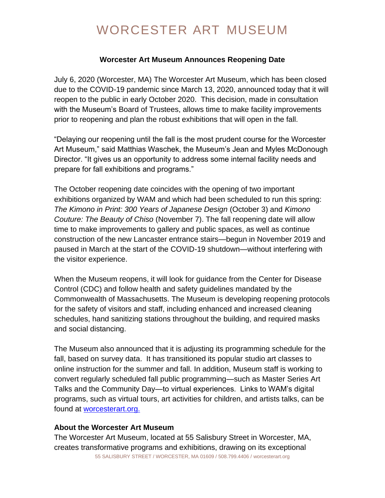# WORCESTER ART MUSEUM

### **Worcester Art Museum Announces Reopening Date**

July 6, 2020 (Worcester, MA) The Worcester Art Museum, which has been closed due to the COVID-19 pandemic since March 13, 2020, announced today that it will reopen to the public in early October 2020. This decision, made in consultation with the Museum's Board of Trustees, allows time to make facility improvements prior to reopening and plan the robust exhibitions that will open in the fall.

"Delaying our reopening until the fall is the most prudent course for the Worcester Art Museum," said Matthias Waschek, the Museum's Jean and Myles McDonough Director. "It gives us an opportunity to address some internal facility needs and prepare for fall exhibitions and programs."

The October reopening date coincides with the opening of two important exhibitions organized by WAM and which had been scheduled to run this spring: *The Kimono in Print: 300 Years of Japanese Design* (October 3) and *Kimono Couture: The Beauty of Chiso* (November 7). The fall reopening date will allow time to make improvements to gallery and public spaces, as well as continue construction of the new Lancaster entrance stairs—begun in November 2019 and paused in March at the start of the COVID-19 shutdown—without interfering with the visitor experience.

When the Museum reopens, it will look for guidance from the Center for Disease Control (CDC) and follow health and safety guidelines mandated by the Commonwealth of Massachusetts. The Museum is developing reopening protocols for the safety of visitors and staff, including enhanced and increased cleaning schedules, hand sanitizing stations throughout the building, and required masks and social distancing.

The Museum also announced that it is adjusting its programming schedule for the fall, based on survey data. It has transitioned its popular studio art classes to online instruction for the summer and fall. In addition, Museum staff is working to convert regularly scheduled fall public programming—such as Master Series Art Talks and the Community Day—to virtual experiences. Links to WAM's digital programs, such as virtual tours, art activities for children, and artists talks, can be found at [worcesterart.org.](https://worcesterart.org/)

#### **About the Worcester Art Museum**

55 SALISBURY STREET / WORCESTER, MA 01609 / 508.799.4406 / worcesterart.org The Worcester Art Museum, located at 55 Salisbury Street in Worcester, MA, creates transformative programs and exhibitions, drawing on its exceptional